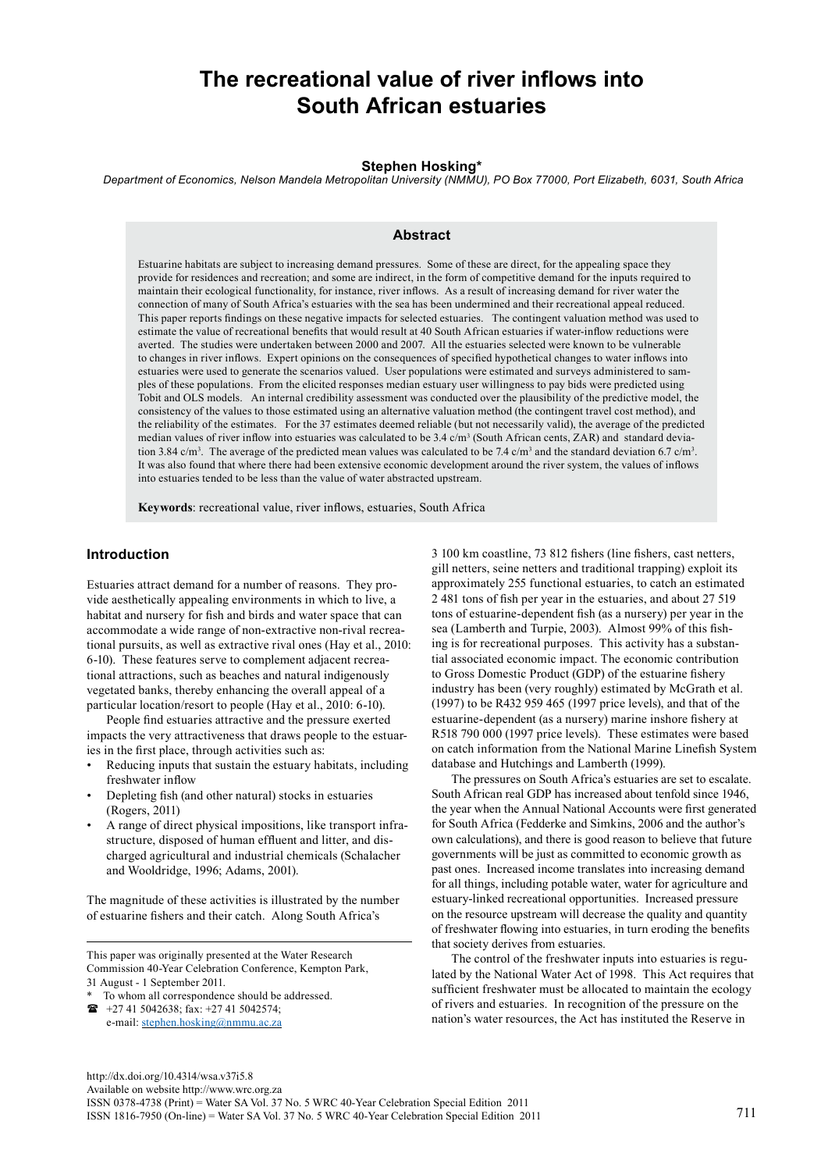# **The recreational value of river inflows into South African estuaries**

#### **Stephen Hosking\***

*Department of Economics, Nelson Mandela Metropolitan University (NMMU), PO Box 77000, Port Elizabeth, 6031, South Africa*

## **Abstract**

Estuarine habitats are subject to increasing demand pressures. Some of these are direct, for the appealing space they provide for residences and recreation; and some are indirect, in the form of competitive demand for the inputs required to maintain their ecological functionality, for instance, river inflows. As a result of increasing demand for river water the connection of many of South Africa's estuaries with the sea has been undermined and their recreational appeal reduced. This paper reports findings on these negative impacts for selected estuaries. The contingent valuation method was used to estimate the value of recreational benefits that would result at 40 South African estuaries if water-inflow reductions were averted. The studies were undertaken between 2000 and 2007. All the estuaries selected were known to be vulnerable to changes in river inflows. Expert opinions on the consequences of specified hypothetical changes to water inflows into estuaries were used to generate the scenarios valued. User populations were estimated and surveys administered to samples of these populations. From the elicited responses median estuary user willingness to pay bids were predicted using Tobit and OLS models. An internal credibility assessment was conducted over the plausibility of the predictive model, the consistency of the values to those estimated using an alternative valuation method (the contingent travel cost method), and the reliability of the estimates. For the 37 estimates deemed reliable (but not necessarily valid), the average of the predicted median values of river inflow into estuaries was calculated to be  $3.4 \text{ c/m}^3$  (South African cents, ZAR) and standard deviation 3.84 c/m<sup>3</sup>. The average of the predicted mean values was calculated to be 7.4 c/m<sup>3</sup> and the standard deviation 6.7 c/m<sup>3</sup>. It was also found that where there had been extensive economic development around the river system, the values of inflows into estuaries tended to be less than the value of water abstracted upstream.

**Keywords**: recreational value, river inflows, estuaries, South Africa

#### **Introduction**

Estuaries attract demand for a number of reasons. They provide aesthetically appealing environments in which to live, a habitat and nursery for fish and birds and water space that can accommodate a wide range of non-extractive non-rival recreational pursuits, as well as extractive rival ones (Hay et al., 2010: 6-10). These features serve to complement adjacent recreational attractions, such as beaches and natural indigenously vegetated banks, thereby enhancing the overall appeal of a particular location/resort to people (Hay et al., 2010: 6-10).

People find estuaries attractive and the pressure exerted impacts the very attractiveness that draws people to the estuaries in the first place, through activities such as:

- Reducing inputs that sustain the estuary habitats, including freshwater inflow
- Depleting fish (and other natural) stocks in estuaries (Rogers, 2011)
- A range of direct physical impositions, like transport infrastructure, disposed of human effluent and litter, and discharged agricultural and industrial chemicals (Schalacher and Wooldridge, 1996; Adams, 2001).

The magnitude of these activities is illustrated by the number of estuarine fishers and their catch. Along South Africa's

This paper was originally presented at the Water Research Commission 40-Year Celebration Conference, Kempton Park, 31 August - 1 September 2011.

- To whom all correspondence should be addressed.  $\bullet$  +27 41 5042638; fax: +27 41 5042574;
	- e-mail: [stephen.hosking@nmmu.ac.za](https://email.nmmu.ac.za/owa/redir.aspx?C=9baa9c475ae541ef96213a2bb214df9e&URL=mailto%3astephen.hosking%40nmmu.ac.za)

3 100 km coastline, 73 812 fishers (line fishers, cast netters, gill netters, seine netters and traditional trapping) exploit its approximately 255 functional estuaries, to catch an estimated 2 481 tons of fish per year in the estuaries, and about 27 519 tons of estuarine-dependent fish (as a nursery) per year in the sea (Lamberth and Turpie, 2003). Almost 99% of this fishing is for recreational purposes. This activity has a substantial associated economic impact. The economic contribution to Gross Domestic Product (GDP) of the estuarine fishery industry has been (very roughly) estimated by McGrath et al. (1997) to be R432 959 465 (1997 price levels), and that of the estuarine-dependent (as a nursery) marine inshore fishery at R518 790 000 (1997 price levels). These estimates were based on catch information from the National Marine Linefish System database and Hutchings and Lamberth (1999).

The pressures on South Africa's estuaries are set to escalate. South African real GDP has increased about tenfold since 1946, the year when the Annual National Accounts were first generated for South Africa (Fedderke and Simkins, 2006 and the author's own calculations), and there is good reason to believe that future governments will be just as committed to economic growth as past ones. Increased income translates into increasing demand for all things, including potable water, water for agriculture and estuary-linked recreational opportunities. Increased pressure on the resource upstream will decrease the quality and quantity of freshwater flowing into estuaries, in turn eroding the benefits that society derives from estuaries.

The control of the freshwater inputs into estuaries is regulated by the National Water Act of 1998. This Act requires that sufficient freshwater must be allocated to maintain the ecology of rivers and estuaries. In recognition of the pressure on the nation's water resources, the Act has instituted the Reserve in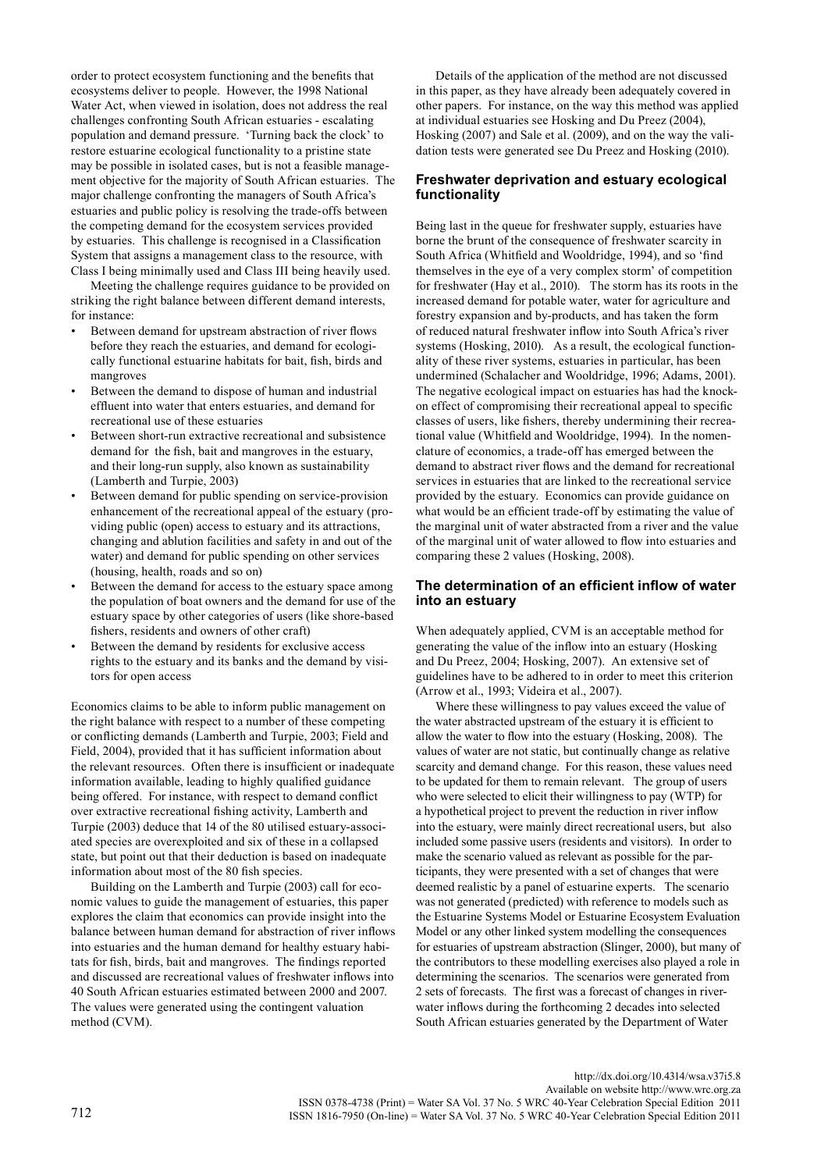order to protect ecosystem functioning and the benefits that ecosystems deliver to people. However, the 1998 National Water Act, when viewed in isolation, does not address the real challenges confronting South African estuaries - escalating population and demand pressure. 'Turning back the clock' to restore estuarine ecological functionality to a pristine state may be possible in isolated cases, but is not a feasible management objective for the majority of South African estuaries. The major challenge confronting the managers of South Africa's estuaries and public policy is resolving the trade-offs between the competing demand for the ecosystem services provided by estuaries. This challenge is recognised in a Classification System that assigns a management class to the resource, with Class I being minimally used and Class III being heavily used.

Meeting the challenge requires guidance to be provided on striking the right balance between different demand interests, for instance:

- Between demand for upstream abstraction of river flows before they reach the estuaries, and demand for ecologically functional estuarine habitats for bait, fish, birds and mangroves
- Between the demand to dispose of human and industrial effluent into water that enters estuaries, and demand for recreational use of these estuaries
- Between short-run extractive recreational and subsistence demand for the fish, bait and mangroves in the estuary, and their long-run supply, also known as sustainability (Lamberth and Turpie, 2003)
- Between demand for public spending on service-provision enhancement of the recreational appeal of the estuary (providing public (open) access to estuary and its attractions, changing and ablution facilities and safety in and out of the water) and demand for public spending on other services (housing, health, roads and so on)
- Between the demand for access to the estuary space among the population of boat owners and the demand for use of the estuary space by other categories of users (like shore-based fishers, residents and owners of other craft)
- Between the demand by residents for exclusive access rights to the estuary and its banks and the demand by visitors for open access

Economics claims to be able to inform public management on the right balance with respect to a number of these competing or conflicting demands (Lamberth and Turpie, 2003; Field and Field, 2004), provided that it has sufficient information about the relevant resources. Often there is insufficient or inadequate information available, leading to highly qualified guidance being offered. For instance, with respect to demand conflict over extractive recreational fishing activity, Lamberth and Turpie (2003) deduce that 14 of the 80 utilised estuary-associated species are overexploited and six of these in a collapsed state, but point out that their deduction is based on inadequate information about most of the 80 fish species.

Building on the Lamberth and Turpie (2003) call for economic values to guide the management of estuaries, this paper explores the claim that economics can provide insight into the balance between human demand for abstraction of river inflows into estuaries and the human demand for healthy estuary habitats for fish, birds, bait and mangroves. The findings reported and discussed are recreational values of freshwater inflows into 40 South African estuaries estimated between 2000 and 2007. The values were generated using the contingent valuation method (CVM).

Details of the application of the method are not discussed in this paper, as they have already been adequately covered in other papers. For instance, on the way this method was applied at individual estuaries see Hosking and Du Preez (2004), Hosking (2007) and Sale et al. (2009), and on the way the validation tests were generated see Du Preez and Hosking (2010).

## **Freshwater deprivation and estuary ecological functionality**

Being last in the queue for freshwater supply, estuaries have borne the brunt of the consequence of freshwater scarcity in South Africa (Whitfield and Wooldridge, 1994), and so 'find themselves in the eye of a very complex storm' of competition for freshwater (Hay et al., 2010). The storm has its roots in the increased demand for potable water, water for agriculture and forestry expansion and by-products, and has taken the form of reduced natural freshwater inflow into South Africa's river systems (Hosking, 2010). As a result, the ecological functionality of these river systems, estuaries in particular, has been undermined (Schalacher and Wooldridge, 1996; Adams, 2001). The negative ecological impact on estuaries has had the knockon effect of compromising their recreational appeal to specific classes of users, like fishers, thereby undermining their recreational value (Whitfield and Wooldridge, 1994). In the nomenclature of economics, a trade-off has emerged between the demand to abstract river flows and the demand for recreational services in estuaries that are linked to the recreational service provided by the estuary. Economics can provide guidance on what would be an efficient trade-off by estimating the value of the marginal unit of water abstracted from a river and the value of the marginal unit of water allowed to flow into estuaries and comparing these 2 values (Hosking, 2008).

## **The determination of an efficient inflow of water into an estuary**

When adequately applied, CVM is an acceptable method for generating the value of the inflow into an estuary (Hosking and Du Preez, 2004; Hosking, 2007). An extensive set of guidelines have to be adhered to in order to meet this criterion (Arrow et al., 1993; Videira et al., 2007).

Where these willingness to pay values exceed the value of the water abstracted upstream of the estuary it is efficient to allow the water to flow into the estuary (Hosking, 2008). The values of water are not static, but continually change as relative scarcity and demand change. For this reason, these values need to be updated for them to remain relevant. The group of users who were selected to elicit their willingness to pay (WTP) for a hypothetical project to prevent the reduction in river inflow into the estuary, were mainly direct recreational users, but also included some passive users (residents and visitors). In order to make the scenario valued as relevant as possible for the participants, they were presented with a set of changes that were deemed realistic by a panel of estuarine experts. The scenario was not generated (predicted) with reference to models such as the Estuarine Systems Model or Estuarine Ecosystem Evaluation Model or any other linked system modelling the consequences for estuaries of upstream abstraction (Slinger, 2000), but many of the contributors to these modelling exercises also played a role in determining the scenarios. The scenarios were generated from 2 sets of forecasts. The first was a forecast of changes in riverwater inflows during the forthcoming 2 decades into selected South African estuaries generated by the Department of Water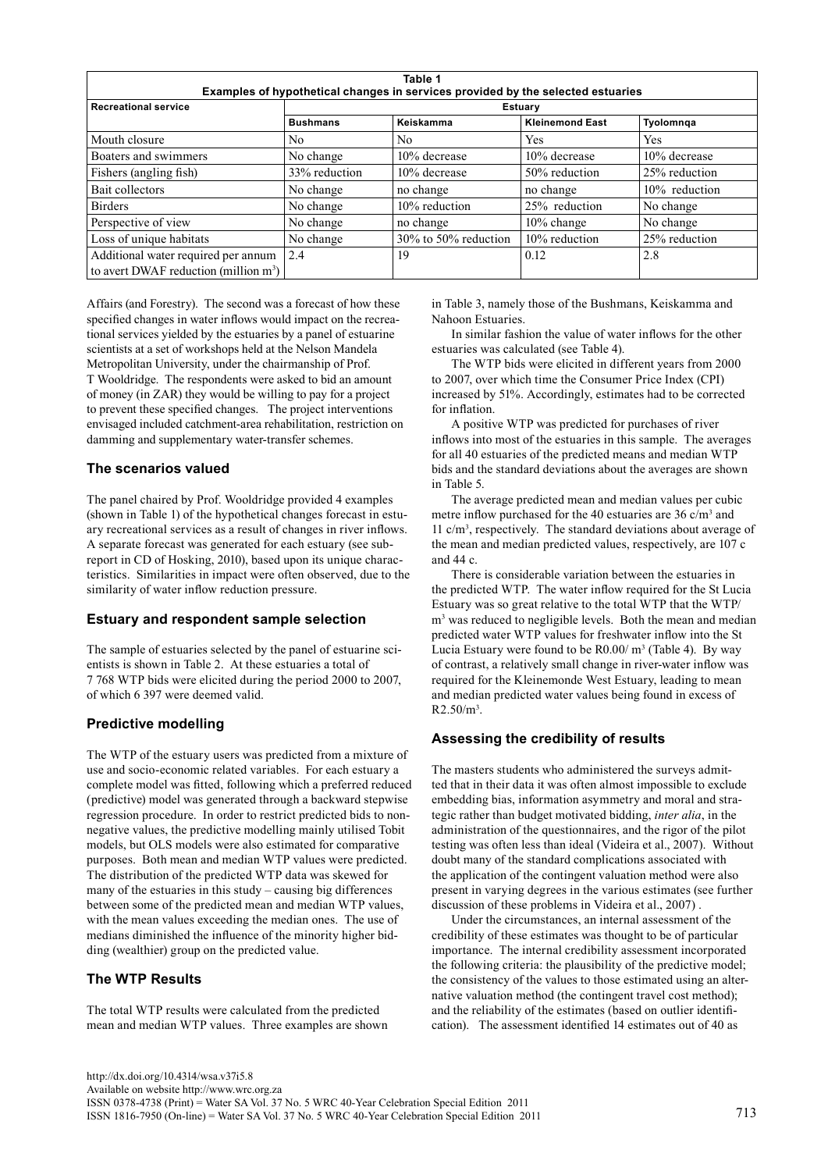| Table 1<br>Examples of hypothetical changes in services provided by the selected estuaries |                 |                      |                        |               |
|--------------------------------------------------------------------------------------------|-----------------|----------------------|------------------------|---------------|
| <b>Recreational service</b>                                                                | Estuary         |                      |                        |               |
|                                                                                            | <b>Bushmans</b> | Keiskamma            | <b>Kleinemond East</b> | Tyolomnqa     |
| Mouth closure                                                                              | No              | No.                  | Yes                    | <b>Yes</b>    |
| Boaters and swimmers                                                                       | No change       | 10% decrease         | 10% decrease           | 10% decrease  |
| Fishers (angling fish)                                                                     | 33% reduction   | 10% decrease         | 50% reduction          | 25% reduction |
| Bait collectors                                                                            | No change       | no change            | no change              | 10% reduction |
| <b>Birders</b>                                                                             | No change       | 10% reduction        | 25% reduction          | No change     |
| Perspective of view                                                                        | No change       | no change            | $10\%$ change          | No change     |
| Loss of unique habitats                                                                    | No change       | 30% to 50% reduction | 10% reduction          | 25% reduction |
| Additional water required per annum<br>to avert DWAF reduction (million $m^3$ )            | 2.4             | 19                   | 0.12                   | 2.8           |

Affairs (and Forestry). The second was a forecast of how these specified changes in water inflows would impact on the recreational services yielded by the estuaries by a panel of estuarine scientists at a set of workshops held at the Nelson Mandela Metropolitan University, under the chairmanship of Prof. T Wooldridge. The respondents were asked to bid an amount of money (in ZAR) they would be willing to pay for a project to prevent these specified changes. The project interventions envisaged included catchment-area rehabilitation, restriction on damming and supplementary water-transfer schemes.

## **The scenarios valued**

The panel chaired by Prof. Wooldridge provided 4 examples (shown in Table 1) of the hypothetical changes forecast in estuary recreational services as a result of changes in river inflows. A separate forecast was generated for each estuary (see subreport in CD of Hosking, 2010), based upon its unique characteristics. Similarities in impact were often observed, due to the similarity of water inflow reduction pressure.

## **Estuary and respondent sample selection**

The sample of estuaries selected by the panel of estuarine scientists is shown in Table 2. At these estuaries a total of 7 768 WTP bids were elicited during the period 2000 to 2007, of which 6 397 were deemed valid.

## **Predictive modelling**

The WTP of the estuary users was predicted from a mixture of use and socio-economic related variables. For each estuary a complete model was fitted, following which a preferred reduced (predictive) model was generated through a backward stepwise regression procedure. In order to restrict predicted bids to nonnegative values, the predictive modelling mainly utilised Tobit models, but OLS models were also estimated for comparative purposes. Both mean and median WTP values were predicted. The distribution of the predicted WTP data was skewed for many of the estuaries in this study – causing big differences between some of the predicted mean and median WTP values, with the mean values exceeding the median ones. The use of medians diminished the influence of the minority higher bidding (wealthier) group on the predicted value.

## **The WTP Results**

The total WTP results were calculated from the predicted mean and median WTP values. Three examples are shown in Table 3, namely those of the Bushmans, Keiskamma and Nahoon Estuaries.

In similar fashion the value of water inflows for the other estuaries was calculated (see Table 4).

The WTP bids were elicited in different years from 2000 to 2007, over which time the Consumer Price Index (CPI) increased by 51%. Accordingly, estimates had to be corrected for inflation.

A positive WTP was predicted for purchases of river inflows into most of the estuaries in this sample. The averages for all 40 estuaries of the predicted means and median WTP bids and the standard deviations about the averages are shown in Table 5.

The average predicted mean and median values per cubic metre inflow purchased for the 40 estuaries are  $36 \text{ c/m}^3$  and 11 c/m3 , respectively. The standard deviations about average of the mean and median predicted values, respectively, are 107 c and  $44c$ .

There is considerable variation between the estuaries in the predicted WTP. The water inflow required for the St Lucia Estuary was so great relative to the total WTP that the WTP/ m<sup>3</sup> was reduced to negligible levels. Both the mean and median predicted water WTP values for freshwater inflow into the St Lucia Estuary were found to be  $R0.00/m<sup>3</sup>$  (Table 4). By way of contrast, a relatively small change in river-water inflow was required for the Kleinemonde West Estuary, leading to mean and median predicted water values being found in excess of  $R2.50/m<sup>3</sup>$ .

## **Assessing the credibility of results**

The masters students who administered the surveys admitted that in their data it was often almost impossible to exclude embedding bias, information asymmetry and moral and strategic rather than budget motivated bidding, *inter alia*, in the administration of the questionnaires, and the rigor of the pilot testing was often less than ideal (Videira et al., 2007). Without doubt many of the standard complications associated with the application of the contingent valuation method were also present in varying degrees in the various estimates (see further discussion of these problems in Videira et al., 2007) .

Under the circumstances, an internal assessment of the credibility of these estimates was thought to be of particular importance. The internal credibility assessment incorporated the following criteria: the plausibility of the predictive model; the consistency of the values to those estimated using an alternative valuation method (the contingent travel cost method); and the reliability of the estimates (based on outlier identification). The assessment identified 14 estimates out of 40 as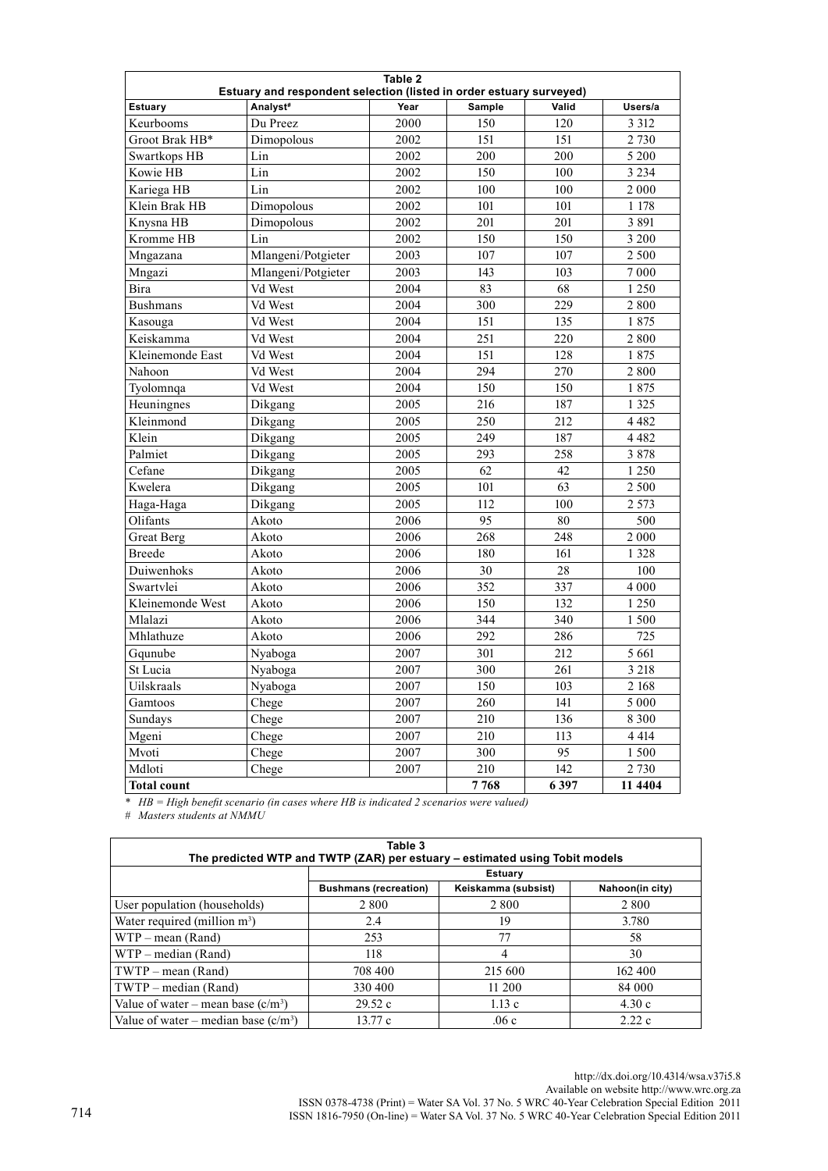| Table 2<br>Estuary and respondent selection (listed in order estuary surveyed) |                      |                  |        |                  |         |
|--------------------------------------------------------------------------------|----------------------|------------------|--------|------------------|---------|
| <b>Estuary</b>                                                                 | Analyst <sup>#</sup> | Year             | Sample | Valid            | Users/a |
| Keurbooms                                                                      | Du Preez             | 2000             | 150    | 120              | 3 3 1 2 |
| Groot Brak HB*                                                                 | Dimopolous           | 2002             | 151    | 151              | 2 7 3 0 |
| Swartkops HB                                                                   | Lin                  | 2002             | 200    | 200              | 5 200   |
| Kowie HB                                                                       | Lin                  | 2002             | 150    | 100              | 3 2 3 4 |
| Kariega HB                                                                     | Lin                  | 2002             | 100    | 100              | 2000    |
| Klein Brak HB                                                                  | Dimopolous           | 2002             | 101    | 101              | 1 178   |
| Knysna HB                                                                      | Dimopolous           | 2002             | 201    | 201              | 3 8 9 1 |
| Kromme HB                                                                      | Lin                  | 2002             | 150    | 150              | 3 200   |
| Mngazana                                                                       | Mlangeni/Potgieter   | 2003             | 107    | 107              | 2 500   |
| Mngazi                                                                         | Mlangeni/Potgieter   | 2003             | 143    | 103              | 7000    |
| Bira                                                                           | Vd West              | 2004             | 83     | 68               | 1 250   |
| <b>Bushmans</b>                                                                | Vd West              | 2004             | 300    | 229              | 2800    |
| Kasouga                                                                        | Vd West              | 2004             | 151    | 135              | 1875    |
| Keiskamma                                                                      | Vd West              | 2004             | 251    | 220              | 2800    |
| Kleinemonde East                                                               | Vd West              | 2004             | 151    | 128              | 1875    |
| Nahoon                                                                         | Vd West              | 2004             | 294    | 270              | 2800    |
| Tyolomnqa                                                                      | Vd West              | 2004             | 150    | 150              | 1875    |
| Heuningnes                                                                     | Dikgang              | 2005             | 216    | 187              | 1 3 2 5 |
| Kleinmond                                                                      | Dikgang              | 2005             | 250    | 212              | 4 4 8 2 |
| Klein                                                                          | Dikgang              | $\frac{2005}{ }$ | 249    | 187              | 4 4 8 2 |
| Palmiet                                                                        | Dikgang              | 2005             | 293    | 258              | 3878    |
| Cefane                                                                         | Dikgang              | 2005             | 62     | 42               | 1 250   |
| Kwelera                                                                        | Dikgang              | 2005             | 101    | 63               | 2 500   |
| Haga-Haga                                                                      | Dikgang              | 2005             | 112    | 100              | 2 5 7 3 |
| Olifants                                                                       | Akoto                | 2006             | 95     | 80               | 500     |
| <b>Great Berg</b>                                                              | Akoto                | 2006             | 268    | 248              | 2000    |
| <b>Breede</b>                                                                  | Akoto                | 2006             | 180    | $\overline{161}$ | 1 3 2 8 |
| Duiwenhoks                                                                     | Akoto                | 2006             | 30     | 28               | 100     |
| Swartvlei                                                                      | Akoto                | 2006             | 352    | 337              | 4 0 0 0 |
| Kleinemonde West                                                               | Akoto                | 2006             | 150    | 132              | 1 250   |
| Mlalazi                                                                        | Akoto                | 2006             | 344    | 340              | 1500    |
| Mhlathuze                                                                      | Akoto                | 2006             | 292    | 286              | 725     |
| Gqunube                                                                        | Nyaboga              | 2007             | 301    | 212              | 5 6 6 1 |
| St Lucia                                                                       | Nyaboga              | 2007             | 300    | 261              | 3 2 1 8 |
| Uilskraals                                                                     | Nyaboga              | 2007             | 150    | 103              | 2 1 6 8 |
| Gamtoos                                                                        | Chege                | 2007             | 260    | 141              | 5 0 0 0 |
| Sundays                                                                        | Chege                | 2007             | 210    | 136              | 8 3 0 0 |
| Mgeni                                                                          | Chege                | 2007             | 210    | 113              | 4 4 1 4 |
| Mvoti                                                                          | Chege                | 2007             | 300    | $\overline{95}$  | 1500    |
| Mdloti                                                                         | Chege                | 2007             | 210    | 142              | 2 7 3 0 |
| <b>Total count</b>                                                             |                      |                  | 7768   | 6397             | 11 4404 |

*\* HB = High benefit scenario (in cases where HB is indicated 2 scenarios were valued)* 

*# Masters students at NMMU* 

| Table 3<br>The predicted WTP and TWTP (ZAR) per estuary – estimated using Tobit models |                              |                     |                 |
|----------------------------------------------------------------------------------------|------------------------------|---------------------|-----------------|
|                                                                                        | <b>Estuary</b>               |                     |                 |
|                                                                                        | <b>Bushmans (recreation)</b> | Keiskamma (subsist) | Nahoon(in city) |
| User population (households)                                                           | 2 8 0 0                      | 2 8 0 0             | 2 800           |
| Water required (million $m^3$ )                                                        | 2.4                          | 19                  | 3.780           |
| $WTP - mean (Rand)$                                                                    | 253                          | 77                  | 58              |
| $WTP - median (Rand)$                                                                  | 118                          | 4                   | 30              |
| $TWTP - mean (Rand)$                                                                   | 708 400                      | 215 600             | 162 400         |
| $TWTP - median (Rand)$                                                                 | 330 400                      | 11 200              | 84 000          |
| Value of water – mean base $(c/m^3)$                                                   | 29.52c                       | 1.13c               | 4.30c           |
| Value of water – median base $(c/m^3)$                                                 | 13.77c                       | .06c                | 2.22c           |

Available on website http://www.wrc.org.za ISSN 0378-4738 (Print) = Water SA Vol. 37 No. 5 WRC 40-Year Celebration Special Edition 2011<br>ISSN 1816-7950 (On-line) = Water SA Vol. 37 No. 5 WRC 40-Year Celebration Special Edition 2011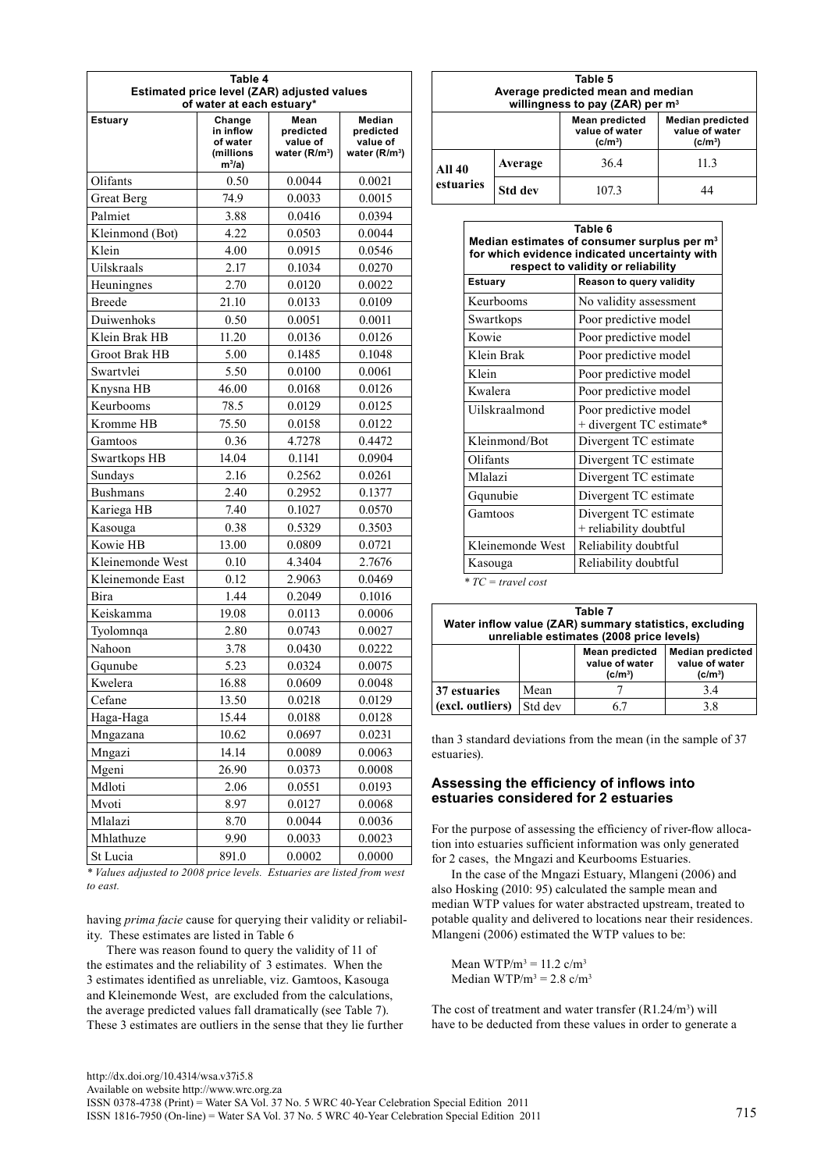| Table 4<br>Estimated price level (ZAR) adjusted values<br>of water at each estuary* |                                                         |                                                            |                                                   |
|-------------------------------------------------------------------------------------|---------------------------------------------------------|------------------------------------------------------------|---------------------------------------------------|
| Estuary                                                                             | Change<br>in inflow<br>of water<br>(millions<br>$m^3/a$ | Mean<br>predicted<br>value of<br>water (R/m <sup>3</sup> ) | Median<br>predicted<br>value of<br>water $(R/m3)$ |
| Olifants                                                                            | 0.50                                                    | 0.0044                                                     | 0.0021                                            |
| Great Berg                                                                          | 74.9                                                    | 0.0033                                                     | 0.0015                                            |
| Palmiet                                                                             | 3.88                                                    | 0.0416                                                     | 0.0394                                            |
| Kleinmond (Bot)                                                                     | 4.22                                                    | 0.0503                                                     | 0.0044                                            |
| Klein                                                                               | 4.00                                                    | 0.0915                                                     | 0.0546                                            |
| Uilskraals                                                                          | 2.17                                                    | 0.1034                                                     | 0.0270                                            |
| Heuningnes                                                                          | 2.70                                                    | 0.0120                                                     | 0.0022                                            |
| <b>Breede</b>                                                                       | 21.10                                                   | 0.0133                                                     | 0.0109                                            |
| Duiwenhoks                                                                          | 0.50                                                    | 0.0051                                                     | 0.0011                                            |
| Klein Brak HB                                                                       | 11.20                                                   | 0.0136                                                     | 0.0126                                            |
| <b>Groot Brak HB</b>                                                                | 5.00                                                    | 0.1485                                                     | 0.1048                                            |
| Swartylei                                                                           | 5.50                                                    | 0.0100                                                     | 0.0061                                            |
| Knysna HB                                                                           | 46.00                                                   | 0.0168                                                     | 0.0126                                            |
| Keurbooms                                                                           | 78.5                                                    | 0.0129                                                     | 0.0125                                            |
| Kromme HB                                                                           | 75.50                                                   | 0.0158                                                     | 0.0122                                            |
| Gamtoos                                                                             | 0.36                                                    | 4.7278                                                     | 0.4472                                            |
| Swartkops HB                                                                        | 14.04                                                   | 0.1141                                                     | 0.0904                                            |
| Sundays                                                                             | 2.16                                                    | 0.2562                                                     | 0.0261                                            |
| <b>Bushmans</b>                                                                     | 2.40                                                    | 0.2952                                                     | 0.1377                                            |
| Kariega HB                                                                          | 7.40                                                    | 0.1027                                                     | 0.0570                                            |
| Kasouga                                                                             | 0.38                                                    | 0.5329                                                     | 0.3503                                            |
| Kowie HB                                                                            | 13.00                                                   | 0.0809                                                     | 0.0721                                            |
| Kleinemonde West                                                                    | 0.10                                                    | 4.3404                                                     | 2.7676                                            |
| Kleinemonde East                                                                    | 0.12                                                    | 2.9063                                                     | 0.0469                                            |
| Bira                                                                                | 1.44                                                    | 0.2049                                                     | 0.1016                                            |
| Keiskamma                                                                           | 19.08                                                   | 0.0113                                                     | 0.0006                                            |
| Tyolomnqa                                                                           | 2.80                                                    | 0.0743                                                     | 0.0027                                            |
| Nahoon                                                                              | 3.78                                                    | 0.0430                                                     | 0.0222                                            |
| Gqunube                                                                             | 5.23                                                    | 0.0324                                                     | 0.0075                                            |
| Kwelera                                                                             | 16.88                                                   | 0.0609                                                     | 0.0048                                            |
| Cefane                                                                              | 13.50                                                   | 0.0218                                                     | 0.0129                                            |
| Haga-Haga                                                                           | 15.44                                                   | 0.0188                                                     | 0.0128                                            |
| Mngazana                                                                            | 10.62                                                   | 0.0697                                                     | 0.0231                                            |
| Mngazi                                                                              | 14.14                                                   | 0.0089                                                     | 0.0063                                            |
| Mgeni                                                                               | 26.90                                                   | 0.0373                                                     | 0.0008                                            |
| Mdloti                                                                              | 2.06                                                    | 0.0551                                                     | 0.0193                                            |
| Mvoti                                                                               | 8.97                                                    | 0.0127                                                     | 0.0068                                            |
| Mlalazi                                                                             | 8.70                                                    | 0.0044                                                     | 0.0036                                            |
| Mhlathuze                                                                           | 9.90                                                    | 0.0033                                                     | 0.0023                                            |
| St Lucia                                                                            | 891.0                                                   | 0.0002                                                     | 0.0000                                            |

*\* Values adjusted to 2008 price levels. Estuaries are listed from west to east.* 

having *prima facie* cause for querying their validity or reliability. These estimates are listed in Table 6

There was reason found to query the validity of 11 of the estimates and the reliability of 3 estimates. When the 3 estimates identified as unreliable, viz. Gamtoos, Kasouga and Kleinemonde West, are excluded from the calculations, the average predicted values fall dramatically (see Table 7). These 3 estimates are outliers in the sense that they lie further

| Table 5<br>Average predicted mean and median<br>willingness to pay (ZAR) per m <sup>3</sup> |                |                                                                |                                                                  |  |
|---------------------------------------------------------------------------------------------|----------------|----------------------------------------------------------------|------------------------------------------------------------------|--|
|                                                                                             |                | <b>Mean predicted</b><br>value of water<br>(c/m <sup>3</sup> ) | <b>Median predicted</b><br>value of water<br>(c/m <sup>3</sup> ) |  |
| All 40                                                                                      | Average        | 36.4                                                           | 11.3                                                             |  |
| estuaries                                                                                   | <b>Std dev</b> | 1073                                                           |                                                                  |  |

| Table 6<br>Median estimates of consumer surplus per m <sup>3</sup><br>for which evidence indicated uncertainty with<br>respect to validity or reliability |                          |  |
|-----------------------------------------------------------------------------------------------------------------------------------------------------------|--------------------------|--|
| Reason to query validity<br><b>Estuary</b>                                                                                                                |                          |  |
| Keurbooms                                                                                                                                                 | No validity assessment   |  |
| Swartkops                                                                                                                                                 | Poor predictive model    |  |
| Kowie                                                                                                                                                     | Poor predictive model    |  |
| Klein Brak                                                                                                                                                | Poor predictive model    |  |
| Klein                                                                                                                                                     | Poor predictive model    |  |
| Kwalera                                                                                                                                                   | Poor predictive model    |  |
| Uilskraalmond                                                                                                                                             | Poor predictive model    |  |
|                                                                                                                                                           | + divergent TC estimate* |  |
| Kleinmond/Bot                                                                                                                                             | Divergent TC estimate    |  |
| Olifants                                                                                                                                                  | Divergent TC estimate    |  |
| Mlalazi                                                                                                                                                   | Divergent TC estimate    |  |
| Gqunubie                                                                                                                                                  | Divergent TC estimate    |  |
| Gamtoos                                                                                                                                                   | Divergent TC estimate    |  |
|                                                                                                                                                           | + reliability doubtful   |  |
| Kleinemonde West                                                                                                                                          | Reliability doubtful     |  |
| Kasouga                                                                                                                                                   | Reliability doubtful     |  |

*\* TC = travel cost*

| Table 7<br>Water inflow value (ZAR) summary statistics, excluding<br>unreliable estimates (2008 price levels) |         |                                                                |                                                                  |
|---------------------------------------------------------------------------------------------------------------|---------|----------------------------------------------------------------|------------------------------------------------------------------|
|                                                                                                               |         | <b>Mean predicted</b><br>value of water<br>(c/m <sup>3</sup> ) | <b>Median predicted</b><br>value of water<br>(c/m <sup>3</sup> ) |
| 37 estuaries                                                                                                  | Mean    |                                                                | 3.4                                                              |
| (excl. outliers)                                                                                              | Std dev |                                                                | 38                                                               |

than 3 standard deviations from the mean (in the sample of 37 estuaries).

#### **Assessing the efficiency of inflows into estuaries considered for 2 estuaries**

For the purpose of assessing the efficiency of river-flow allocation into estuaries sufficient information was only generated for 2 cases, the Mngazi and Keurbooms Estuaries.

In the case of the Mngazi Estuary, Mlangeni (2006) and also Hosking (2010: 95) calculated the sample mean and median WTP values for water abstracted upstream, treated to potable quality and delivered to locations near their residences. Mlangeni (2006) estimated the WTP values to be:

Mean  $WTP/m^3 = 11.2$  c/m<sup>3</sup> Median  $WTP/m^3 = 2.8$  c/m<sup>3</sup>

The cost of treatment and water transfer  $(R1.24/m<sup>3</sup>)$  will have to be deducted from these values in order to generate a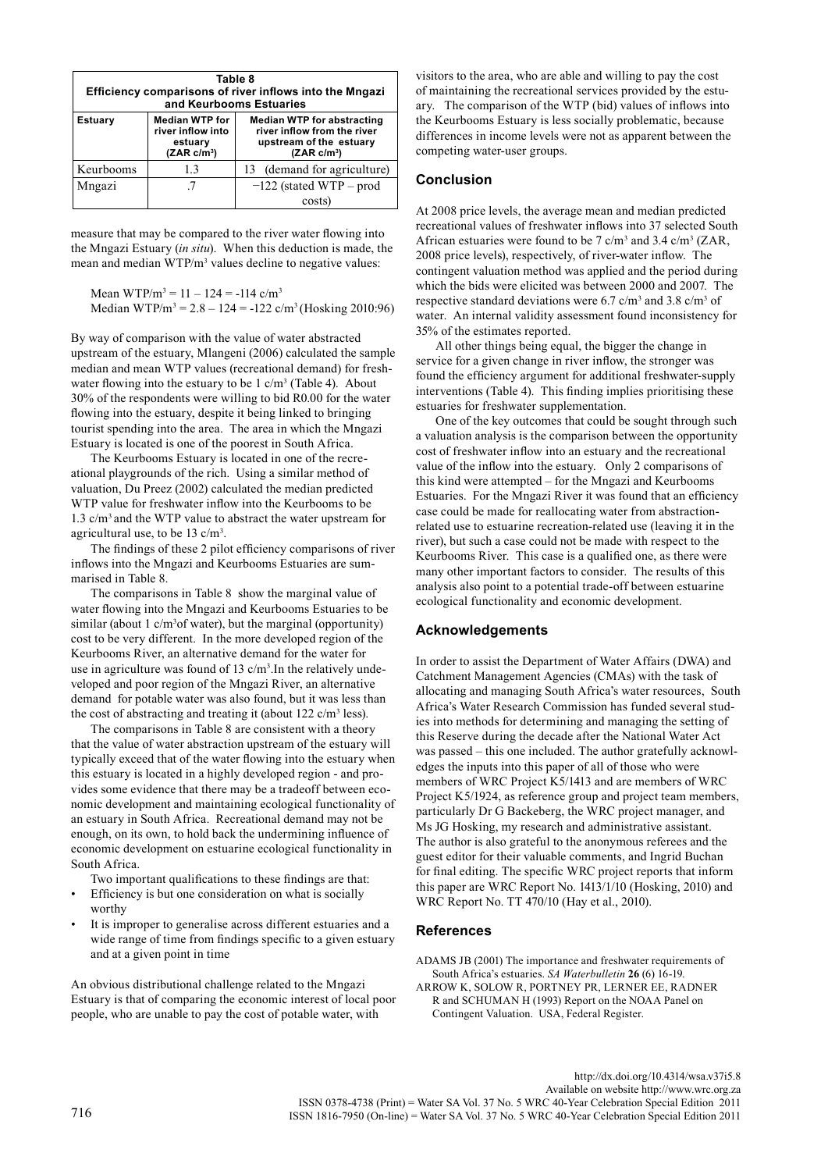| Table 8<br>Efficiency comparisons of river inflows into the Mngazi<br>and Keurbooms Estuaries |                                                                                  |                                                                                                                        |  |
|-----------------------------------------------------------------------------------------------|----------------------------------------------------------------------------------|------------------------------------------------------------------------------------------------------------------------|--|
| <b>Estuary</b>                                                                                | <b>Median WTP for</b><br>river inflow into<br>estuary<br>(ZAR c/m <sup>3</sup> ) | <b>Median WTP for abstracting</b><br>river inflow from the river<br>upstream of the estuary<br>(ZAR c/m <sup>3</sup> ) |  |
| <b>Keurbooms</b>                                                                              | 1.3                                                                              | 13 (demand for agriculture)                                                                                            |  |
| Mngazi                                                                                        |                                                                                  | $-122$ (stated WTP – prod                                                                                              |  |
|                                                                                               |                                                                                  | costs)                                                                                                                 |  |

measure that may be compared to the river water flowing into the Mngazi Estuary (*in situ*). When this deduction is made, the mean and median WTP/m<sup>3</sup> values decline to negative values:

Mean  $WTP/m^3 = 11 - 124 = -114$  c/m<sup>3</sup> Median WTP/m<sup>3</sup> = 2.8 – 124 = -122 c/m<sup>3</sup> (Hosking 2010:96)

By way of comparison with the value of water abstracted upstream of the estuary, Mlangeni (2006) calculated the sample median and mean WTP values (recreational demand) for freshwater flowing into the estuary to be  $1 \text{ c/m}^3$  (Table 4). About 30% of the respondents were willing to bid R0.00 for the water flowing into the estuary, despite it being linked to bringing tourist spending into the area. The area in which the Mngazi Estuary is located is one of the poorest in South Africa.

The Keurbooms Estuary is located in one of the recreational playgrounds of the rich. Using a similar method of valuation, Du Preez (2002) calculated the median predicted WTP value for freshwater inflow into the Keurbooms to be 1.3 c/m3 and the WTP value to abstract the water upstream for agricultural use, to be 13 c/m<sup>3</sup>.

The findings of these 2 pilot efficiency comparisons of river inflows into the Mngazi and Keurbooms Estuaries are summarised in Table 8.

The comparisons in Table 8 show the marginal value of water flowing into the Mngazi and Keurbooms Estuaries to be similar (about  $1 \text{ c/m}^3$  of water), but the marginal (opportunity) cost to be very different. In the more developed region of the Keurbooms River, an alternative demand for the water for use in agriculture was found of  $13 \text{ c/m}^3$ . In the relatively undeveloped and poor region of the Mngazi River, an alternative demand for potable water was also found, but it was less than the cost of abstracting and treating it (about  $122 \text{ c/m}^3$  less).

The comparisons in Table 8 are consistent with a theory that the value of water abstraction upstream of the estuary will typically exceed that of the water flowing into the estuary when this estuary is located in a highly developed region - and provides some evidence that there may be a tradeoff between economic development and maintaining ecological functionality of an estuary in South Africa. Recreational demand may not be enough, on its own, to hold back the undermining influence of economic development on estuarine ecological functionality in South Africa.

Two important qualifications to these findings are that: Efficiency is but one consideration on what is socially

worthy It is improper to generalise across different estuaries and a wide range of time from findings specific to a given estuary and at a given point in time

An obvious distributional challenge related to the Mngazi Estuary is that of comparing the economic interest of local poor people, who are unable to pay the cost of potable water, with

visitors to the area, who are able and willing to pay the cost of maintaining the recreational services provided by the estuary. The comparison of the WTP (bid) values of inflows into the Keurbooms Estuary is less socially problematic, because differences in income levels were not as apparent between the competing water-user groups.

## **Conclusion**

At 2008 price levels, the average mean and median predicted recreational values of freshwater inflows into 37 selected South African estuaries were found to be 7  $c/m^3$  and 3.4  $c/m^3$  (ZAR, 2008 price levels), respectively, of river-water inflow. The contingent valuation method was applied and the period during which the bids were elicited was between 2000 and 2007. The respective standard deviations were  $6.7$  c/m<sup>3</sup> and  $3.8$  c/m<sup>3</sup> of water. An internal validity assessment found inconsistency for 35% of the estimates reported.

All other things being equal, the bigger the change in service for a given change in river inflow, the stronger was found the efficiency argument for additional freshwater-supply interventions (Table 4). This finding implies prioritising these estuaries for freshwater supplementation.

One of the key outcomes that could be sought through such a valuation analysis is the comparison between the opportunity cost of freshwater inflow into an estuary and the recreational value of the inflow into the estuary. Only 2 comparisons of this kind were attempted – for the Mngazi and Keurbooms Estuaries. For the Mngazi River it was found that an efficiency case could be made for reallocating water from abstractionrelated use to estuarine recreation-related use (leaving it in the river), but such a case could not be made with respect to the Keurbooms River. This case is a qualified one, as there were many other important factors to consider. The results of this analysis also point to a potential trade-off between estuarine ecological functionality and economic development.

## **Acknowledgements**

In order to assist the Department of Water Affairs (DWA) and Catchment Management Agencies (CMAs) with the task of allocating and managing South Africa's water resources, South Africa's Water Research Commission has funded several studies into methods for determining and managing the setting of this Reserve during the decade after the National Water Act was passed – this one included. The author gratefully acknowledges the inputs into this paper of all of those who were members of WRC Project K5/1413 and are members of WRC Project K5/1924, as reference group and project team members, particularly Dr G Backeberg, the WRC project manager, and Ms JG Hosking, my research and administrative assistant. The author is also grateful to the anonymous referees and the guest editor for their valuable comments, and Ingrid Buchan for final editing. The specific WRC project reports that inform this paper are WRC Report No. 1413/1/10 (Hosking, 2010) and WRC Report No. TT 470/10 (Hay et al., 2010).

## **References**

ADAMS JB (2001) The importance and freshwater requirements of South Africa's estuaries. *SA Waterbulletin* **26** (6) 16-19. Arrow K, Solow R, Portney PR, Lerner EE, Radner R and SCHUMAN H (1993) Report on the NOAA Panel on Contingent Valuation. USA, Federal Register.